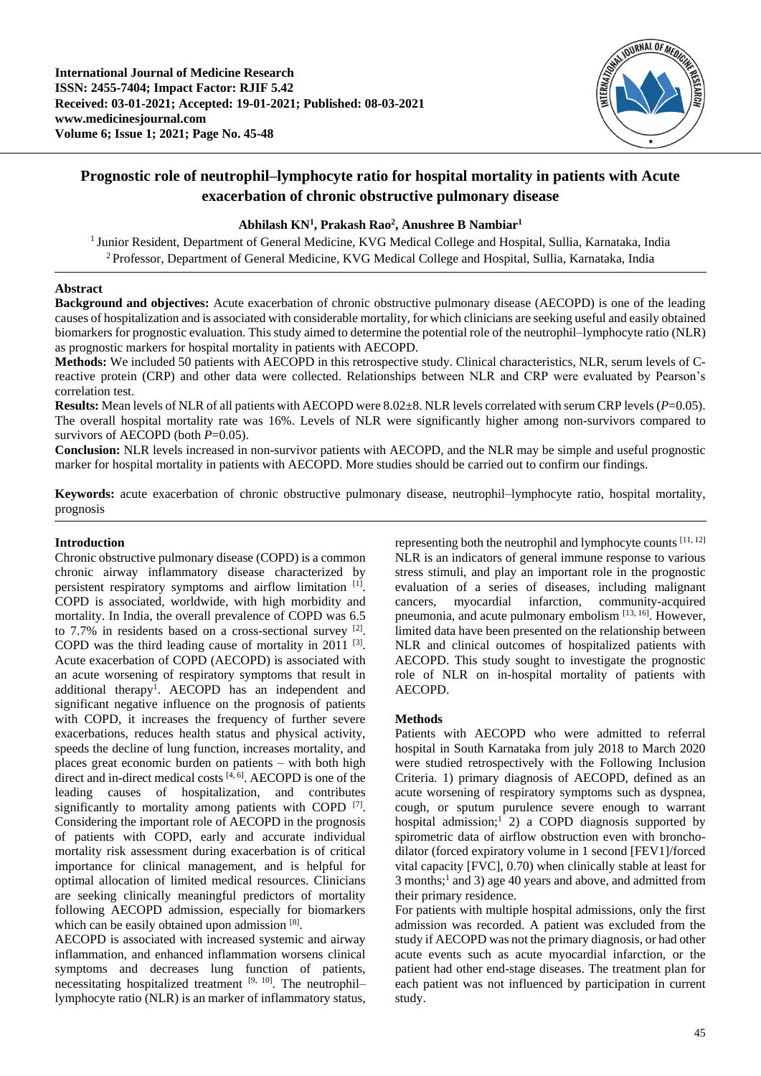

# **Prognostic role of neutrophil–lymphocyte ratio for hospital mortality in patients with Acute exacerbation of chronic obstructive pulmonary disease**

## **Abhilash KN<sup>1</sup> , Prakash Rao<sup>2</sup> , Anushree B Nambiar<sup>1</sup>**

<sup>1</sup> Junior Resident, Department of General Medicine, KVG Medical College and Hospital, Sullia, Karnataka, India <sup>2</sup> Professor, Department of General Medicine, KVG Medical College and Hospital, Sullia, Karnataka, India

## **Abstract**

**Background and objectives:** Acute exacerbation of chronic obstructive pulmonary disease (AECOPD) is one of the leading causes of hospitalization and is associated with considerable mortality, for which clinicians are seeking useful and easily obtained biomarkers for prognostic evaluation. This study aimed to determine the potential role of the neutrophil–lymphocyte ratio (NLR) as prognostic markers for hospital mortality in patients with AECOPD.

**Methods:** We included 50 patients with AECOPD in this retrospective study. Clinical characteristics, NLR, serum levels of Creactive protein (CRP) and other data were collected. Relationships between NLR and CRP were evaluated by Pearson's correlation test.

**Results:** Mean levels of NLR of all patients with AECOPD were 8.02±8. NLR levels correlated with serum CRP levels (*P*=0.05). The overall hospital mortality rate was 16%. Levels of NLR were significantly higher among non-survivors compared to survivors of AECOPD (both *P*=0.05).

**Conclusion:** NLR levels increased in non-survivor patients with AECOPD, and the NLR may be simple and useful prognostic marker for hospital mortality in patients with AECOPD. More studies should be carried out to confirm our findings.

**Keywords:** acute exacerbation of chronic obstructive pulmonary disease, neutrophil–lymphocyte ratio, hospital mortality, prognosis

## **Introduction**

Chronic obstructive pulmonary disease (COPD) is a common chronic airway inflammatory disease characterized by persistent respiratory symptoms and airflow limitation [1]. COPD is associated, worldwide, with high morbidity and mortality. In India, the overall prevalence of COPD was 6.5 to 7.7% in residents based on a cross-sectional survey  $[2]$ . COPD was the third leading cause of mortality in  $2011$  <sup>[3]</sup>. Acute exacerbation of COPD (AECOPD) is associated with an acute worsening of respiratory symptoms that result in additional therapy<sup>1</sup>. AECOPD has an independent and significant negative influence on the prognosis of patients with COPD, it increases the frequency of further severe exacerbations, reduces health status and physical activity, speeds the decline of lung function, increases mortality, and places great economic burden on patients – with both high direct and in-direct medical costs [4, 6]. AECOPD is one of the leading causes of hospitalization, and contributes significantly to mortality among patients with COPD [7]. Considering the important role of AECOPD in the prognosis of patients with COPD, early and accurate individual mortality risk assessment during exacerbation is of critical importance for clinical management, and is helpful for optimal allocation of limited medical resources. Clinicians are seeking clinically meaningful predictors of mortality following AECOPD admission, especially for biomarkers which can be easily obtained upon admission [8].

AECOPD is associated with increased systemic and airway inflammation, and enhanced inflammation worsens clinical symptoms and decreases lung function of patients, necessitating hospitalized treatment [9, 10]. The neutrophillymphocyte ratio (NLR) is an marker of inflammatory status,

representing both the neutrophil and lymphocyte counts [11, 12] NLR is an indicators of general immune response to various stress stimuli, and play an important role in the prognostic evaluation of a series of diseases, including malignant cancers, myocardial infarction, community-acquired pneumonia, and acute pulmonary embolism [13, 16]. However, limited data have been presented on the relationship between NLR and clinical outcomes of hospitalized patients with AECOPD. This study sought to investigate the prognostic role of NLR on in-hospital mortality of patients with AECOPD.

## **Methods**

Patients with AECOPD who were admitted to referral hospital in South Karnataka from july 2018 to March 2020 were studied retrospectively with the Following Inclusion Criteria. 1) primary diagnosis of AECOPD, defined as an acute worsening of respiratory symptoms such as dyspnea, cough, or sputum purulence severe enough to warrant hospital admission;  $\binom{1}{2}$  a COPD diagnosis supported by spirometric data of airflow obstruction even with bronchodilator (forced expiratory volume in 1 second [FEV1]/forced vital capacity [FVC], 0.70) when clinically stable at least for 3 months;<sup>1</sup> and 3) age 40 years and above, and admitted from their primary residence.

For patients with multiple hospital admissions, only the first admission was recorded. A patient was excluded from the study if AECOPD was not the primary diagnosis, or had other acute events such as acute myocardial infarction, or the patient had other end-stage diseases. The treatment plan for each patient was not influenced by participation in current study.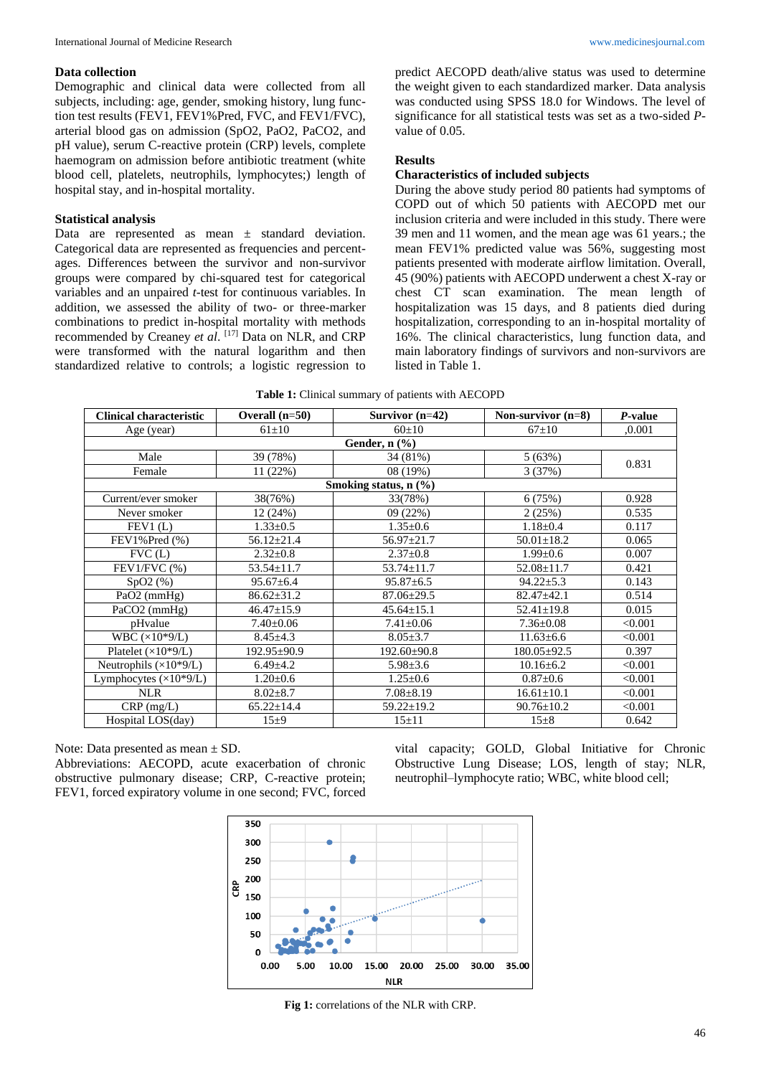Demographic and clinical data were collected from all subjects, including: age, gender, smoking history, lung function test results (FEV1, FEV1%Pred, FVC, and FEV1/FVC), arterial blood gas on admission (SpO2, PaO2, PaCO2, and pH value), serum C-reactive protein (CRP) levels, complete haemogram on admission before antibiotic treatment (white blood cell, platelets, neutrophils, lymphocytes;) length of hospital stay, and in-hospital mortality.

### **Statistical analysis**

Data are represented as mean  $\pm$  standard deviation. Categorical data are represented as frequencies and percentages. Differences between the survivor and non-survivor groups were compared by chi-squared test for categorical variables and an unpaired *t*-test for continuous variables. In addition, we assessed the ability of two- or three-marker combinations to predict in-hospital mortality with methods recommended by Creaney *et al*. [17] Data on NLR, and CRP were transformed with the natural logarithm and then standardized relative to controls; a logistic regression to

predict AECOPD death/alive status was used to determine the weight given to each standardized marker. Data analysis was conducted using SPSS 18.0 for Windows. The level of significance for all statistical tests was set as a two-sided *P*value of 0.05.

#### **Results**

## **Characteristics of included subjects**

During the above study period 80 patients had symptoms of COPD out of which 50 patients with AECOPD met our inclusion criteria and were included in this study. There were 39 men and 11 women, and the mean age was 61 years.; the mean FEV1% predicted value was 56%, suggesting most patients presented with moderate airflow limitation. Overall, 45 (90%) patients with AECOPD underwent a chest X-ray or chest CT scan examination. The mean length of hospitalization was 15 days, and 8 patients died during hospitalization, corresponding to an in-hospital mortality of 16%. The clinical characteristics, lung function data, and main laboratory findings of survivors and non-survivors are listed in Table 1.

| <b>Table 1:</b> Clinical summary of patients with AECOPD |  |  |
|----------------------------------------------------------|--|--|
|----------------------------------------------------------|--|--|

| <b>Clinical characteristic</b>         | Overall $(n=50)$  | Survivor $(n=42)$ | Non-survivor $(n=8)$ | $P$ -value |  |
|----------------------------------------|-------------------|-------------------|----------------------|------------|--|
| Age (year)                             | $61 \pm 10$       | $60+10$           | $67+10$              | ,0.001     |  |
| Gender, $n$ $\left(\frac{9}{6}\right)$ |                   |                   |                      |            |  |
| Male                                   | 39 (78%)          | 34 (81%)          | 5(63%)               |            |  |
| Female                                 | 11(22%)           | 08 (19%)          | 3 (37%)              | 0.831      |  |
| Smoking status, n (%)                  |                   |                   |                      |            |  |
| Current/ever smoker                    | 38(76%)           | 33(78%)           | 6(75%)               | 0.928      |  |
| Never smoker                           | 12 (24%)          | 09(22%)           | 2(25%)               | 0.535      |  |
| FEV1(L)                                | $1.33 \pm 0.5$    | $1.35 \pm 0.6$    | $1.18 \pm 0.4$       | 0.117      |  |
| FEV1%Pred (%)                          | $56.12 \pm 21.4$  | $56.97 \pm 21.7$  | $50.01 \pm 18.2$     | 0.065      |  |
| FVC(L)                                 | $2.32 \pm 0.8$    | $2.37 \pm 0.8$    | $1.99 \pm 0.6$       | 0.007      |  |
| $FEV1/FVC$ $%$ )                       | $53.54 \pm 11.7$  | $53.74 \pm 11.7$  | $52.08 \pm 11.7$     | 0.421      |  |
| SpO2(%)                                | $95.67 \pm 6.4$   | $95.87 \pm 6.5$   | $94.22 \pm 5.3$      | 0.143      |  |
| PaO2 (mmHg)                            | $86.62 \pm 31.2$  | $87.06 \pm 29.5$  | $82.47 \pm 42.1$     | 0.514      |  |
| PaCO <sub>2</sub> (mmHg)               | $46.47 \pm 15.9$  | $45.64 \pm 15.1$  | $52.41 \pm 19.8$     | 0.015      |  |
| pHvalue                                | $7.40 \pm 0.06$   | $7.41 \pm 0.06$   | $7.36 \pm 0.08$      | < 0.001    |  |
| WBC $(\times 10*9/L)$                  | $8.45 \pm 4.3$    | $8.05 \pm 3.7$    | $11.63 \pm 6.6$      | < 0.001    |  |
| Platelet $(\times 10*9/L)$             | $192.95 \pm 90.9$ | $192.60 \pm 90.8$ | $180.05 \pm 92.5$    | 0.397      |  |
| Neutrophils $(\times 10*9/L)$          | $6.49{\pm}4.2$    | $5.98 \pm 3.6$    | $10.16 \pm 6.2$      | < 0.001    |  |
| Lymphocytes (×10*9/L)                  | $1.20 \pm 0.6$    | $1.25 \pm 0.6$    | $0.87 \pm 0.6$       | < 0.001    |  |
| <b>NLR</b>                             | $8.02 \pm 8.7$    | $7.08 \pm 8.19$   | $16.61 \pm 10.1$     | < 0.001    |  |
| $CRP$ (mg/L)                           | $65.22 \pm 14.4$  | $59.22 \pm 19.2$  | $90.76 \pm 10.2$     | < 0.001    |  |
| Hospital LOS(day)                      | $15+9$            | $15+11$           | $15+8$               | 0.642      |  |

Note: Data presented as mean ± SD.

Abbreviations: AECOPD, acute exacerbation of chronic obstructive pulmonary disease; CRP, C-reactive protein; FEV1, forced expiratory volume in one second; FVC, forced

vital capacity; GOLD, Global Initiative for Chronic Obstructive Lung Disease; LOS, length of stay; NLR, neutrophil–lymphocyte ratio; WBC, white blood cell;



**Fig 1:** correlations of the NLR with CRP.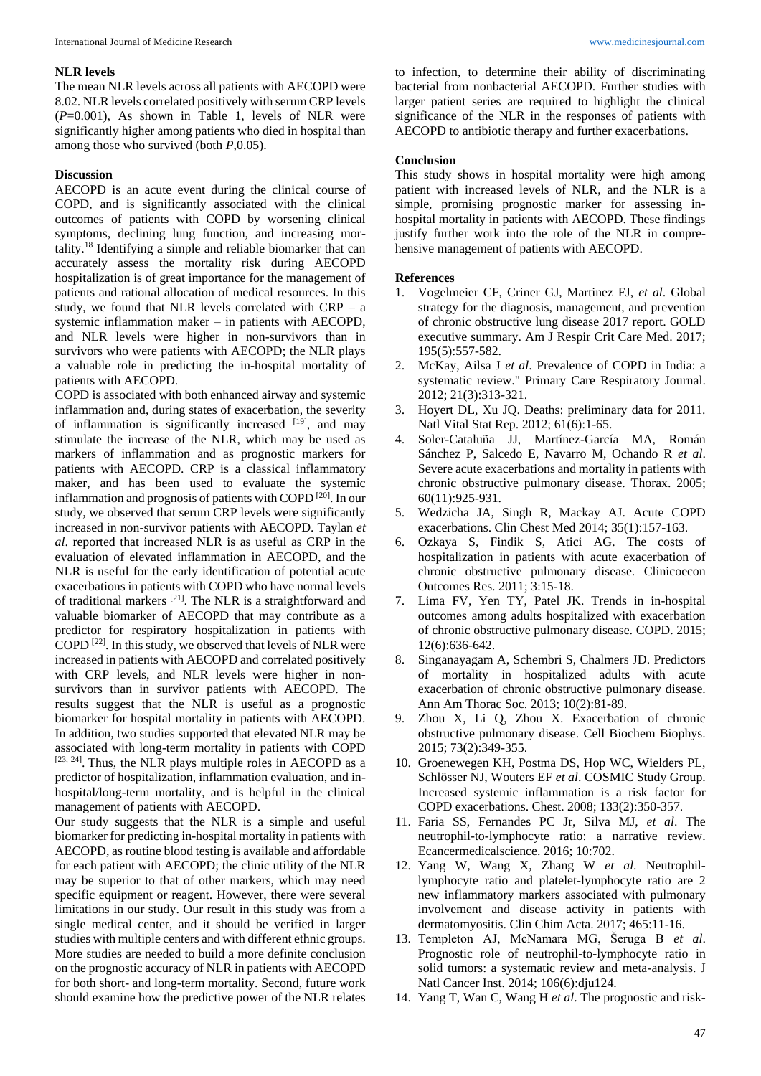#### **NLR levels**

The mean NLR levels across all patients with AECOPD were 8.02. NLR levels correlated positively with serum CRP levels (*P*=0.001), As shown in Table 1, levels of NLR were significantly higher among patients who died in hospital than among those who survived (both *P*,0.05).

#### **Discussion**

AECOPD is an acute event during the clinical course of COPD, and is significantly associated with the clinical outcomes of patients with COPD by worsening clinical symptoms, declining lung function, and increasing mortality.<sup>18</sup> Identifying a simple and reliable biomarker that can accurately assess the mortality risk during AECOPD hospitalization is of great importance for the management of patients and rational allocation of medical resources. In this study, we found that NLR levels correlated with  $CRP - a$ systemic inflammation maker – in patients with AECOPD, and NLR levels were higher in non-survivors than in survivors who were patients with AECOPD; the NLR plays a valuable role in predicting the in-hospital mortality of patients with AECOPD.

COPD is associated with both enhanced airway and systemic inflammation and, during states of exacerbation, the severity of inflammation is significantly increased [19], and may stimulate the increase of the NLR, which may be used as markers of inflammation and as prognostic markers for patients with AECOPD. CRP is a classical inflammatory maker, and has been used to evaluate the systemic inflammation and prognosis of patients with COPD<sup>[20]</sup>. In our study, we observed that serum CRP levels were significantly increased in non-survivor patients with AECOPD. Taylan *et al*. reported that increased NLR is as useful as CRP in the evaluation of elevated inflammation in AECOPD, and the NLR is useful for the early identification of potential acute exacerbations in patients with COPD who have normal levels of traditional markers<sup>[21]</sup>. The NLR is a straightforward and valuable biomarker of AECOPD that may contribute as a predictor for respiratory hospitalization in patients with COPD<sup>[22]</sup>. In this study, we observed that levels of NLR were increased in patients with AECOPD and correlated positively with CRP levels, and NLR levels were higher in nonsurvivors than in survivor patients with AECOPD. The results suggest that the NLR is useful as a prognostic biomarker for hospital mortality in patients with AECOPD. In addition, two studies supported that elevated NLR may be associated with long-term mortality in patients with COPD  $[23, 24]$ . Thus, the NLR plays multiple roles in AECOPD as a predictor of hospitalization, inflammation evaluation, and inhospital/long-term mortality, and is helpful in the clinical management of patients with AECOPD.

Our study suggests that the NLR is a simple and useful biomarker for predicting in-hospital mortality in patients with AECOPD, as routine blood testing is available and affordable for each patient with AECOPD; the clinic utility of the NLR may be superior to that of other markers, which may need specific equipment or reagent. However, there were several limitations in our study. Our result in this study was from a single medical center, and it should be verified in larger studies with multiple centers and with different ethnic groups. More studies are needed to build a more definite conclusion on the prognostic accuracy of NLR in patients with AECOPD for both short- and long-term mortality. Second, future work should examine how the predictive power of the NLR relates

to infection, to determine their ability of discriminating bacterial from nonbacterial AECOPD. Further studies with larger patient series are required to highlight the clinical significance of the NLR in the responses of patients with AECOPD to antibiotic therapy and further exacerbations.

#### **Conclusion**

This study shows in hospital mortality were high among patient with increased levels of NLR, and the NLR is a simple, promising prognostic marker for assessing inhospital mortality in patients with AECOPD. These findings justify further work into the role of the NLR in comprehensive management of patients with AECOPD.

#### **References**

- 1. Vogelmeier CF, Criner GJ, Martinez FJ, *et al*. Global strategy for the diagnosis, management, and prevention of chronic obstructive lung disease 2017 report. GOLD executive summary. Am J Respir Crit Care Med. 2017; 195(5):557-582.
- 2. McKay, Ailsa J *et al*. Prevalence of COPD in India: a systematic review." Primary Care Respiratory Journal. 2012; 21(3):313-321.
- 3. Hoyert DL, Xu JQ. Deaths: preliminary data for 2011. Natl Vital Stat Rep. 2012; 61(6):1-65.
- 4. Soler-Cataluña JJ, Martínez-García MA, Román Sánchez P, Salcedo E, Navarro M, Ochando R *et al*. Severe acute exacerbations and mortality in patients with chronic obstructive pulmonary disease. Thorax. 2005; 60(11):925-931.
- 5. Wedzicha JA, Singh R, Mackay AJ. Acute COPD exacerbations. Clin Chest Med 2014; 35(1):157-163.
- 6. Ozkaya S, Findik S, Atici AG. The costs of hospitalization in patients with acute exacerbation of chronic obstructive pulmonary disease. Clinicoecon Outcomes Res. 2011; 3:15-18.
- 7. Lima FV, Yen TY, Patel JK. Trends in in-hospital outcomes among adults hospitalized with exacerbation of chronic obstructive pulmonary disease. COPD. 2015; 12(6):636-642.
- 8. Singanayagam A, Schembri S, Chalmers JD. Predictors of mortality in hospitalized adults with acute exacerbation of chronic obstructive pulmonary disease. Ann Am Thorac Soc. 2013; 10(2):81-89.
- 9. Zhou X, Li Q, Zhou X. Exacerbation of chronic obstructive pulmonary disease. Cell Biochem Biophys. 2015; 73(2):349-355.
- 10. Groenewegen KH, Postma DS, Hop WC, Wielders PL, Schlösser NJ, Wouters EF *et al*. COSMIC Study Group. Increased systemic inflammation is a risk factor for COPD exacerbations. Chest. 2008; 133(2):350-357.
- 11. Faria SS, Fernandes PC Jr, Silva MJ, *et al*. The neutrophil-to-lymphocyte ratio: a narrative review. Ecancermedicalscience. 2016; 10:702.
- 12. Yang W, Wang X, Zhang W *et al*. Neutrophillymphocyte ratio and platelet-lymphocyte ratio are 2 new inflammatory markers associated with pulmonary involvement and disease activity in patients with dermatomyositis. Clin Chim Acta. 2017; 465:11-16.
- 13. Templeton AJ, McNamara MG, Šeruga B *et al*. Prognostic role of neutrophil-to-lymphocyte ratio in solid tumors: a systematic review and meta-analysis. J Natl Cancer Inst. 2014; 106(6):dju124.
- 14. Yang T, Wan C, Wang H *et al*. The prognostic and risk-